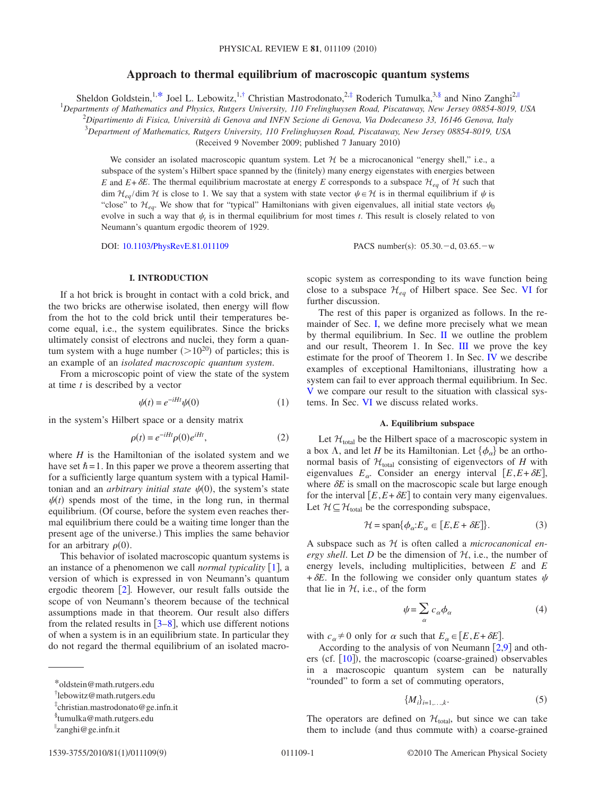# **Approach to thermal equilibrium of macroscopic quantum systems**

Sheldon Goldstein,<sup>1[,\\*](#page-0-0)</sup> Joel L. Lebowitz,<sup>1[,†](#page-0-1)</sup> Christian Mastrodonato,<sup>2[,‡](#page-0-2)</sup> Roderich Tumulka,<sup>3[,§](#page-0-3)</sup> and Nino Zanghi<sup>2,||</sup>

1 *Departments of Mathematics and Physics, Rutgers University, 110 Frelinghuysen Road, Piscataway, New Jersey 08854-8019, USA*

2 *Dipartimento di Fisica, Università di Genova and INFN Sezione di Genova, Via Dodecaneso 33, 16146 Genova, Italy*

3 *Department of Mathematics, Rutgers University, 110 Frelinghuysen Road, Piscataway, New Jersey 08854-8019, USA*

(Received 9 November 2009; published 7 January 2010)

We consider an isolated macroscopic quantum system. Let  $H$  be a microcanonical "energy shell," i.e., a subspace of the system's Hilbert space spanned by the (finitely) many energy eigenstates with energies between *E* and  $E + \delta E$ . The thermal equilibrium macrostate at energy *E* corresponds to a subspace  $\mathcal{H}_{eq}$  of  $\mathcal{H}$  such that dim  $\mathcal{H}_{eq}/\text{dim }\mathcal{H}$  is close to 1. We say that a system with state vector  $\psi \in \mathcal{H}$  is in thermal equilibrium if  $\psi$  is "close" to  $\mathcal{H}_{eq}$ . We show that for "typical" Hamiltonians with given eigenvalues, all initial state vectors  $\psi_0$ evolve in such a way that  $\psi_t$  is in thermal equilibrium for most times *t*. This result is closely related to von Neumann's quantum ergodic theorem of 1929.

DOI: [10.1103/PhysRevE.81.011109](http://dx.doi.org/10.1103/PhysRevE.81.011109)

PACS number(s):  $05.30.-d, 03.65.-w$ 

## **I. INTRODUCTION**

<span id="page-0-5"></span>If a hot brick is brought in contact with a cold brick, and the two bricks are otherwise isolated, then energy will flow from the hot to the cold brick until their temperatures become equal, i.e., the system equilibrates. Since the bricks ultimately consist of electrons and nuclei, they form a quantum system with a huge number  $(>10^{20})$  of particles; this is an example of an *isolated macroscopic quantum system*.

From a microscopic point of view the state of the system at time *t* is described by a vector

$$
\psi(t) = e^{-iHt}\psi(0) \tag{1}
$$

in the system's Hilbert space or a density matrix

$$
\rho(t) = e^{-iHt}\rho(0)e^{iHt},\qquad(2)
$$

where *H* is the Hamiltonian of the isolated system and we have set  $\hbar = 1$ . In this paper we prove a theorem asserting that for a sufficiently large quantum system with a typical Hamiltonian and an *arbitrary initial state*  $\psi(0)$ , the system's state  $\psi(t)$  spends most of the time, in the long run, in thermal equilibrium. (Of course, before the system even reaches thermal equilibrium there could be a waiting time longer than the present age of the universe.) This implies the same behavior for an arbitrary  $\rho(0)$ .

This behavior of isolated macroscopic quantum systems is an instance of a phenomenon we call *normal typicality*  $[1]$  $[1]$  $[1]$ , a version of which is expressed in von Neumann's quantum ergodic theorem  $[2]$  $[2]$  $[2]$ . However, our result falls outside the scope of von Neumann's theorem because of the technical assumptions made in that theorem. Our result also differs from the related results in  $[3-8]$  $[3-8]$  $[3-8]$ , which use different notions of when a system is in an equilibrium state. In particular they do not regard the thermal equilibrium of an isolated macroscopic system as corresponding to its wave function being close to a subspace  $\mathcal{H}_{eq}$  of Hilbert space. See Sec. [VI](#page-7-0) for further discussion.

The rest of this paper is organized as follows. In the re-mainder of Sec. [I,](#page-0-5) we define more precisely what we mean by thermal equilibrium. In Sec. [II](#page-2-0) we outline the problem and our result, Theorem 1. In Sec. [III](#page-4-0) we prove the key estimate for the proof of Theorem 1. In Sec. [IV](#page-5-0) we describe examples of exceptional Hamiltonians, illustrating how a system can fail to ever approach thermal equilibrium. In Sec. [V](#page-6-0) we compare our result to the situation with classical systems. In Sec. [VI](#page-7-0) we discuss related works.

### **A. Equilibrium subspace**

<span id="page-0-6"></span>Let  $\mathcal{H}_{total}$  be the Hilbert space of a macroscopic system in a box  $\Lambda$ , and let *H* be its Hamiltonian. Let  $\{\phi_{\alpha}\}\$ be an orthonormal basis of  $\mathcal{H}_{total}$  consisting of eigenvectors of *H* with eigenvalues  $E_\alpha$ . Consider an energy interval  $[E, E + \delta E]$ , where  $\delta E$  is small on the macroscopic scale but large enough for the interval  $[E, E + \delta E]$  to contain very many eigenvalues. Let  $\mathcal{H} \subseteq \mathcal{H}_{total}$  be the corresponding subspace,

$$
\mathcal{H} = \text{span}\{\phi_{\alpha}: E_{\alpha} \in [E, E + \delta E]\}.
$$
 (3)

A subspace such as H is often called a *microcanonical energy shell*. Let *D* be the dimension of  $H$ , i.e., the number of energy levels, including multiplicities, between *E* and *E*  $+\delta E$ . In the following we consider only quantum states  $\psi$ that lie in  $H$ , i.e., of the form

$$
\psi = \sum_{\alpha} c_{\alpha} \phi_{\alpha} \tag{4}
$$

with  $c_{\alpha} \neq 0$  only for  $\alpha$  such that  $E_{\alpha} \in [E, E + \delta E].$ 

According to the analysis of von Neumann  $\lceil 2.9 \rceil$  $\lceil 2.9 \rceil$  $\lceil 2.9 \rceil$  and others (cf.  $[10]$  $[10]$  $[10]$ ), the macroscopic (coarse-grained) observables in a macroscopic quantum system can be naturally "rounded" to form a set of commuting operators,

$$
\{M_i\}_{i=1,\ldots,k}.\tag{5}
$$

The operators are defined on  $\mathcal{H}_{total}$ , but since we can take them to include (and thus commute with) a coarse-grained

<span id="page-0-0"></span><sup>\*</sup>oldstein@math.rutgers.edu

<span id="page-0-1"></span><sup>†</sup> lebowitz@math.rutgers.edu

<span id="page-0-2"></span><sup>‡</sup> christian.mastrodonato@ge.infn.it

<span id="page-0-3"></span><sup>§</sup> tumulka@math.rutgers.edu

<span id="page-0-4"></span>zanghi@ge.infn.it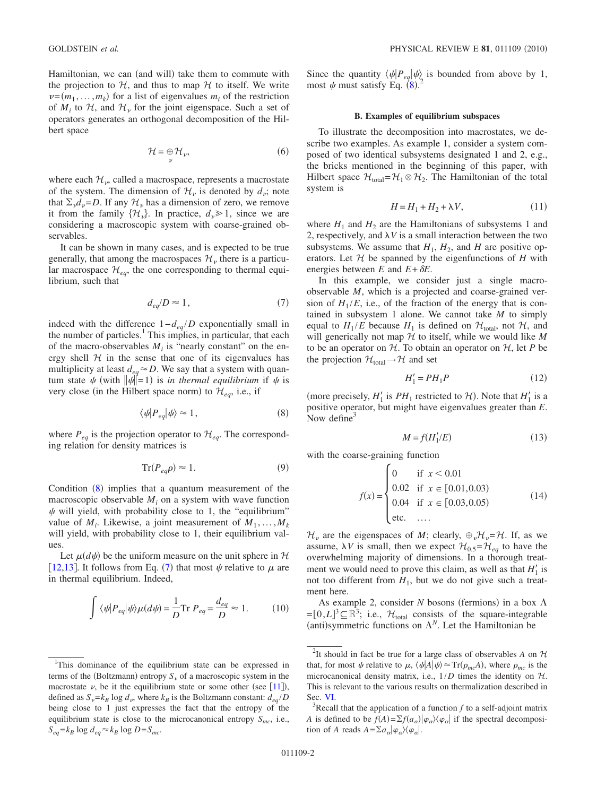Hamiltonian, we can (and will) take them to commute with the projection to  $H$ , and thus to map  $H$  to itself. We write  $\nu = (m_1, \dots, m_k)$  for a list of eigenvalues  $m_i$  of the restriction of  $M_i$  to  $H_i$ , and  $H_{\nu}$  for the joint eigenspace. Such a set of operators generates an orthogonal decomposition of the Hilbert space

$$
\mathcal{H} = \bigoplus_{\nu} \mathcal{H}_{\nu},\tag{6}
$$

where each  $\mathcal{H}_\nu$ , called a macrospace, represents a macrostate of the system. The dimension of  $\mathcal{H}_{\nu}$  is denoted by  $d_{\nu}$ ; note that  $\Sigma_{\nu}d_{\nu}=D$ . If any  $\mathcal{H}_{\nu}$  has a dimension of zero, we remove it from the family  $\{\mathcal{H}_\nu\}$ . In practice,  $d_\nu \ge 1$ , since we are considering a macroscopic system with coarse-grained observables.

It can be shown in many cases, and is expected to be true generally, that among the macrospaces  $\mathcal{H}_v$  there is a particular macrospace  $\mathcal{H}_{ea}$ , the one corresponding to thermal equilibrium, such that

$$
d_{eq}/D \approx 1,\tag{7}
$$

<span id="page-1-1"></span>indeed with the difference  $1-d_{eq}/D$  exponentially small in the number of particles.<sup>1</sup> This implies, in particular, that each of the macro-observables  $M_i$  is "nearly constant" on the energy shell  $H$  in the sense that one of its eigenvalues has multiplicity at least  $d_{eq} \approx D$ . We say that a system with quantum state  $\psi$  (with  $\|\psi\|=1$ ) is *in thermal equilibrium* if  $\psi$  is very close (in the Hilbert space norm) to  $\mathcal{H}_{eq}$ , i.e., if

$$
\langle \psi | P_{eq} | \psi \rangle \approx 1, \tag{8}
$$

<span id="page-1-0"></span>where  $P_{eq}$  is the projection operator to  $\mathcal{H}_{eq}$ . The corresponding relation for density matrices is

$$
\operatorname{Tr}(P_{eq}\rho) \approx 1. \tag{9}
$$

Condition ([8](#page-1-0)) implies that a quantum measurement of the macroscopic observable  $M_i$  on a system with wave function  $\psi$  will yield, with probability close to 1, the "equilibrium" value of  $M_i$ . Likewise, a joint measurement of  $M_1, \ldots, M_k$ will yield, with probability close to 1, their equilibrium values.

Let  $\mu(d\psi)$  be the uniform measure on the unit sphere in H [[12](#page-8-6)[,13](#page-8-7)]. It follows from Eq. ([7](#page-1-1)) that most  $\psi$  relative to  $\mu$  are in thermal equilibrium. Indeed,

<span id="page-1-4"></span>
$$
\int \langle \psi | P_{eq} | \psi \rangle \mu(d\psi) = \frac{1}{D} \text{Tr } P_{eq} = \frac{d_{eq}}{D} \approx 1. \tag{10}
$$

Since the quantity  $\langle \psi | P_{eq} | \psi \rangle$  is bounded from above by 1,<br>most  $\psi$  must satisfy Eq. (8) <sup>2</sup> most  $\psi$  must satisfy Eq. ([8](#page-1-0)).

#### **B. Examples of equilibrium subspaces**

<span id="page-1-3"></span>To illustrate the decomposition into macrostates, we describe two examples. As example 1, consider a system composed of two identical subsystems designated 1 and 2, e.g., the bricks mentioned in the beginning of this paper, with Hilbert space  $\mathcal{H}_{\text{total}} = \mathcal{H}_1 \otimes \mathcal{H}_2$ . The Hamiltonian of the total system is

$$
H = H_1 + H_2 + \lambda V, \tag{11}
$$

where  $H_1$  and  $H_2$  are the Hamiltonians of subsystems 1 and 2, respectively, and  $\lambda V$  is a small interaction between the two subsystems. We assume that  $H_1$ ,  $H_2$ , and  $H$  are positive operators. Let  $H$  be spanned by the eigenfunctions of  $H$  with energies between *E* and  $E + \delta E$ .

In this example, we consider just a single macroobservable *M*, which is a projected and coarse-grained version of  $H_1/E$ , i.e., of the fraction of the energy that is contained in subsystem 1 alone. We cannot take *M* to simply equal to  $H_1/E$  because  $H_1$  is defined on  $\mathcal{H}_{total}$ , not  $\mathcal{H}$ , and will generically not map  $H$  to itself, while we would like  $M$ to be an operator on  $H$ . To obtain an operator on  $H$ , let P be the projection  $\mathcal{H}_{total} \rightarrow \mathcal{H}$  and set

$$
H_1' = PH_1P \tag{12}
$$

(more precisely,  $H'_1$  is  $PH_1$  restricted to  $H'_1$ ). Note that  $H'_1$  is a positive operator, but might have eigenvalues greater than *E*. Now define<sup>3</sup>

$$
M = f(H_1'/E) \tag{13}
$$

<span id="page-1-2"></span>with the coarse-graining function

$$
f(x) = \begin{cases} 0 & \text{if } x < 0.01\\ 0.02 & \text{if } x \in [0.01, 0.03) \\ 0.04 & \text{if } x \in [0.03, 0.05) \\ \text{etc.} & \dots \end{cases}
$$
(14)

 $\mathcal{H}_{\nu}$  are the eigenspaces of *M*; clearly,  $\bigoplus_{\nu} \mathcal{H}_{\nu} = \mathcal{H}$ . If, as we assume,  $\lambda V$  is small, then we expect  $\mathcal{H}_{0.5} = \mathcal{H}_{eq}$  to have the overwhelming majority of dimensions. In a thorough treatment we would need to prove this claim, as well as that  $H_1'$  is not too different from  $H_1$ , but we do not give such a treatment here.

As example 2, consider  $N$  bosons (fermions) in a box  $\Lambda$  $=[0,L]^3 \subseteq \mathbb{R}^3$ ; i.e.,  $\mathcal{H}_{total}$  consists of the square-integrable (anti)symmetric functions on  $\Lambda^N$ . Let the Hamiltonian be

<sup>&</sup>lt;sup>1</sup>This dominance of the equilibrium state can be expressed in terms of the (Boltzmann) entropy  $S_{\nu}$  of a macroscopic system in the macrostate  $\nu$ , be it the equilibrium state or some other (see [[11](#page-8-8)]), defined as  $S_v = k_B \log d_v$ , where  $k_B$  is the Boltzmann constant:  $d_{eq}/D$ being close to 1 just expresses the fact that the entropy of the equilibrium state is close to the microcanonical entropy  $S_{mc}$ , i.e.,  $S_{eq} = k_B \log d_{eq} \approx k_B \log D = S_{mc}$ .

<sup>&</sup>lt;sup>2</sup>It should in fact be true for a large class of observables *A* on  $H$ that, for most  $\psi$  relative to  $\mu$ ,  $\langle \psi | A | \psi \rangle \approx \text{Tr}(\rho_{mc} A)$ , where  $\rho_{mc}$  is the microcanonical density matrix, i.e.,  $1/D$  times the identity on  $H$ . This is relevant to the various results on thermalization described in Sec. [VI.](#page-7-0)

 $R$ Recall that the application of a function  $f$  to a self-adjoint matrix *A* is defined to be  $f(A) = \sum f(a_\alpha) |\varphi_\alpha\rangle \langle \varphi_\alpha|$  if the spectral decomposition of *A* reads  $A = \sum a_{\alpha} |\varphi_{\alpha}\rangle \langle \varphi_{\alpha}|$ .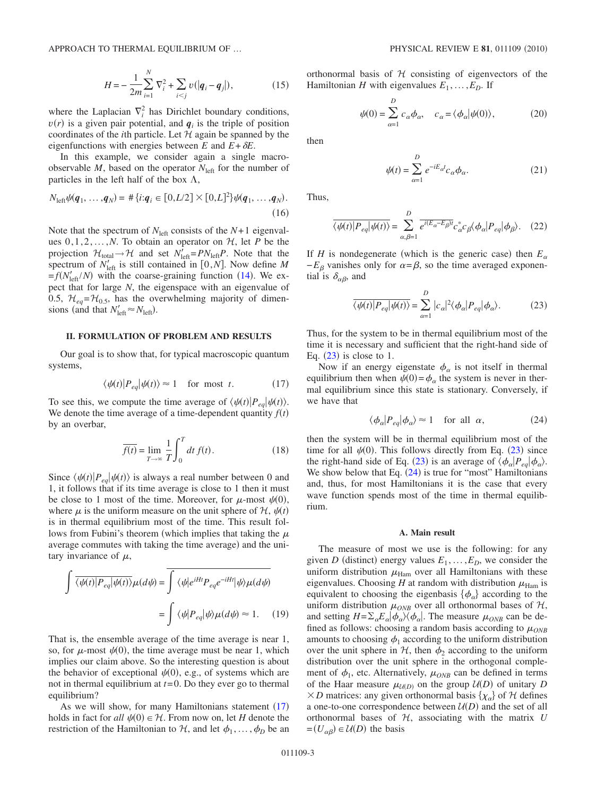<span id="page-2-4"></span>APPROACH TO THERMAL EQUILIBRIUM OF ...

$$
H = -\frac{1}{2m} \sum_{i=1}^{N} \nabla_i^2 + \sum_{i < j} v(|\mathbf{q}_i - \mathbf{q}_j|),\tag{15}
$$

where the Laplacian  $\nabla_i^2$  has Dirichlet boundary conditions,  $v(r)$  is a given pair potential, and  $q_i$  is the triple of position coordinates of the *i*th particle. Let  $H$  again be spanned by the eigenfunctions with energies between  $E$  and  $E + \delta E$ .

In this example, we consider again a single macroobservable  $M$ , based on the operator  $N_{\text{left}}$  for the number of particles in the left half of the box  $\Lambda$ ,

$$
N_{\text{left}}\psi(q_1,\ldots,q_N) = #\{i:q_i \in [0,L/2] \times [0,L]^2\}\psi(q_1,\ldots,q_N).
$$
\n(16)

Note that the spectrum of  $N_{\text{left}}$  consists of the  $N+1$  eigenvalues  $0, 1, 2, \ldots, N$ . To obtain an operator on  $H$ , let *P* be the projection  $\mathcal{H}_{total} \rightarrow \mathcal{H}$  and set  $N'_{left} = PN_{left}P$ . Note that the spectrum of  $N'_{\text{left}}$  is still contained in [0,*N*]. Now define *M*  $f(N'_{\text{left}}/N)$  with the coarse-graining function ([14](#page-1-2)). We expect that for large *N*, the eigenspace with an eigenvalue of 0.5,  $\mathcal{H}_{eq} = \mathcal{H}_{0.5}$ , has the overwhelming majority of dimensions (and that  $N'_{\text{left}} \approx N_{\text{left}}$ ).

# <span id="page-2-0"></span>**II. FORMULATION OF PROBLEM AND RESULTS**

Our goal is to show that, for typical macroscopic quantum systems,

$$
\langle \psi(t) | P_{eq} | \psi(t) \rangle \approx 1 \quad \text{for most } t. \tag{17}
$$

<span id="page-2-1"></span>To see this, we compute the time average of  $\langle \psi(t) | P_{eq} | \psi(t) \rangle$ . We denote the time average of a time-dependent quantity  $f(t)$ by an overbar,

$$
\overline{f(t)} = \lim_{T \to \infty} \frac{1}{T} \int_0^T dt f(t).
$$
\n(18)

Since  $\langle \psi(t) | P_{eq} | \psi(t) \rangle$  is always a real number between 0 and 1, it follows that if its time average is close to 1 then it must be close to 1 most of the time. Moreover, for  $\mu$ -most  $\psi(0)$ , where  $\mu$  is the uniform measure on the unit sphere of  $\mathcal{H}, \psi(t)$ is in thermal equilibrium most of the time. This result follows from Fubini's theorem (which implies that taking the  $\mu$ average commutes with taking the time average) and the unitary invariance of  $\mu$ ,

$$
\int \overline{\langle \psi(t)|P_{eq}|\psi(t)\rangle} \mu(d\psi) = \overline{\int \langle \psi|e^{iHt}P_{eq}e^{-iHt}|\psi\rangle \mu(d\psi)}
$$

$$
= \int \langle \psi|P_{eq}|\psi\rangle \mu(d\psi) \approx 1. \quad (19)
$$

That is, the ensemble average of the time average is near 1, so, for  $\mu$ -most  $\psi(0)$ , the time average must be near 1, which implies our claim above. So the interesting question is about the behavior of exceptional  $\psi(0)$ , e.g., of systems which are not in thermal equilibrium at *t*=0. Do they ever go to thermal equilibrium?

As we will show, for many Hamiltonians statement  $(17)$  $(17)$  $(17)$ holds in fact for  $all \psi(0) \in \mathcal{H}$ . From now on, let *H* denote the restriction of the Hamiltonian to  $H$ , and let  $\phi_1, \ldots, \phi_D$  be an orthonormal basis of  $H$  consisting of eigenvectors of the Hamiltonian *H* with eigenvalues  $E_1, \ldots, E_D$ . If

$$
\psi(0) = \sum_{\alpha=1}^{D} c_{\alpha} \phi_{\alpha}, \quad c_{\alpha} = \langle \phi_{\alpha} | \psi(0) \rangle, \tag{20}
$$

then

$$
\psi(t) = \sum_{\alpha=1}^{D} e^{-iE_{\alpha}t} c_{\alpha} \phi_{\alpha}.
$$
\n(21)

Thus,

$$
\overline{\langle \psi(t) | P_{eq} | \psi(t) \rangle} = \sum_{\alpha, \beta=1}^{D} \overline{e^{i(E_{\alpha} - E_{\beta})t}} c_{\alpha}^{*} c_{\beta} \langle \phi_{\alpha} | P_{eq} | \phi_{\beta} \rangle. \quad (22)
$$

<span id="page-2-2"></span>If *H* is nondegenerate (which is the generic case) then  $E_{\alpha}$  $-E_\beta$  vanishes only for  $\alpha = \beta$ , so the time averaged exponential is  $\delta_{\alpha\beta}$ , and

$$
\overline{\langle \psi(t) | P_{eq} | \psi(t) \rangle} = \sum_{\alpha=1}^{D} |c_{\alpha}|^2 \langle \phi_{\alpha} | P_{eq} | \phi_{\alpha} \rangle. \tag{23}
$$

Thus, for the system to be in thermal equilibrium most of the time it is necessary and sufficient that the right-hand side of Eq.  $(23)$  $(23)$  $(23)$  is close to 1.

Now if an energy eigenstate  $\phi_{\alpha}$  is not itself in thermal equilibrium then when  $\psi(0) = \phi_\alpha$  the system is never in thermal equilibrium since this state is stationary. Conversely, if we have that

$$
\langle \phi_{\alpha} | P_{eq} | \phi_{\alpha} \rangle \approx 1 \quad \text{for all } \alpha,
$$
 (24)

<span id="page-2-3"></span>then the system will be in thermal equilibrium most of the time for all  $\psi(0)$ . This follows directly from Eq. ([23](#page-2-2)) since the right-hand side of Eq. ([23](#page-2-2)) is an average of  $\langle \phi_\alpha | P_{eq} | \phi_\alpha \rangle$ . We show below that Eq.  $(24)$  $(24)$  $(24)$  is true for "most" Hamiltonians and, thus, for most Hamiltonians it is the case that every wave function spends most of the time in thermal equilibrium.

#### **A. Main result**

The measure of most we use is the following: for any given *D* (distinct) energy values  $E_1, \ldots, E_D$ , we consider the uniform distribution  $\mu_{\text{Ham}}$  over all Hamiltonians with these eigenvalues. Choosing *H* at random with distribution  $\mu_{\text{Ham}}$  is equivalent to choosing the eigenbasis  $\{\phi_{\alpha}\}\$  according to the uniform distribution  $\mu_{ONB}$  over all orthonormal bases of  $H$ , and setting  $H = \sum_{\alpha} E_{\alpha} |\phi_{\alpha}\rangle\langle\phi_{\alpha}|$ . The measure  $\mu_{ONB}$  can be defined as follows: choosing a random basis according to  $\mu_{ONB}$ amounts to choosing  $\phi_1$  according to the uniform distribution over the unit sphere in  $H$ , then  $\phi_2$  according to the uniform distribution over the unit sphere in the orthogonal complement of  $\phi_1$ , etc. Alternatively,  $\mu_{ONB}$  can be defined in terms of the Haar measure  $\mu_{U(D)}$  on the group  $U(D)$  of unitary *D*  $\times$ *D* matrices: any given orthonormal basis { $\chi_{\alpha}$ } of *H* defines a one-to-one correspondence between  $U(D)$  and the set of all orthonormal bases of  $H$ , associating with the matrix  $U$  $=(U_{\alpha\beta}) \in U(D)$  the basis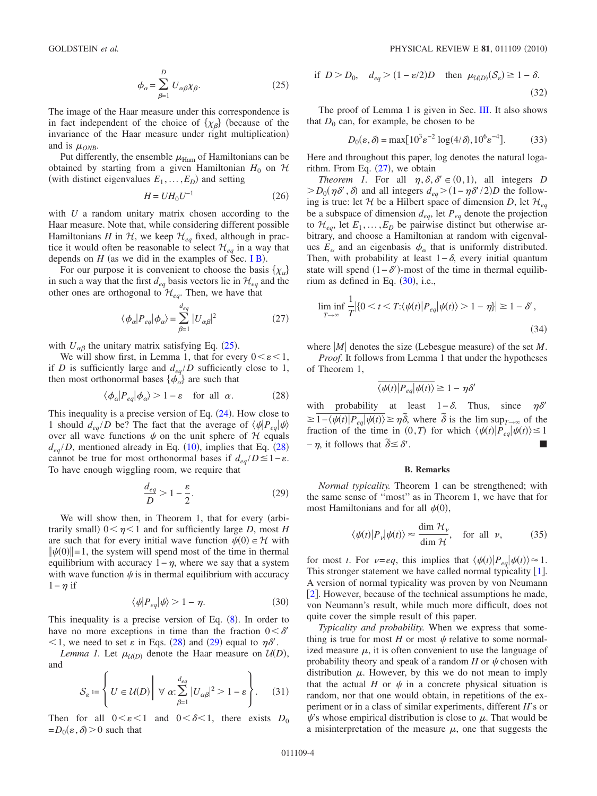$$
\phi_{\alpha} = \sum_{\beta=1}^{D} U_{\alpha\beta} \chi_{\beta}.
$$
 (25)

<span id="page-3-0"></span>The image of the Haar measure under this correspondence is in fact independent of the choice of  $\{\chi_{\beta}\}\$  (because of the invariance of the Haar measure under right multiplication and is  $\mu_{\text{ONB}}$ .

Put differently, the ensemble  $\mu_{\text{Ham}}$  of Hamiltonians can be obtained by starting from a given Hamiltonian  $H_0$  on  $H$ (with distinct eigenvalues  $E_1, \ldots, E_D$ ) and setting

$$
H = UH_0U^{-1} \tag{26}
$$

<span id="page-3-5"></span>with *U* a random unitary matrix chosen according to the Haar measure. Note that, while considering different possible Hamiltonians *H* in  $H$ , we keep  $H_{eq}$  fixed, although in practice it would often be reasonable to select  $\mathcal{H}_{eq}$  in a way that depends on  $H$  (as we did in the examples of Sec. [I B](#page-1-3)).

<span id="page-3-3"></span>For our purpose it is convenient to choose the basis  $\{\chi_{\alpha}\}\$ in such a way that the first  $d_{eq}$  basis vectors lie in  $\mathcal{H}_{eq}$  and the other ones are orthogonal to  $\mathcal{H}_{eq}$ . Then, we have that

$$
\langle \phi_{\alpha} | P_{eq} | \phi_{\alpha} \rangle = \sum_{\beta=1}^{d_{eq}} |U_{\alpha\beta}|^2
$$
 (27)

with  $U_{\alpha\beta}$  the unitary matrix satisfying Eq. ([25](#page-3-0)).

We will show first, in Lemma 1, that for every  $0 \le \varepsilon \le 1$ , if *D* is sufficiently large and  $d_{eq}/D$  sufficiently close to 1, then most orthonormal bases  $\{\phi_{\alpha}\}\$ are such that

$$
\langle \phi_{\alpha} | P_{eq} | \phi_{\alpha} \rangle > 1 - \varepsilon \quad \text{for all } \alpha. \tag{28}
$$

<span id="page-3-1"></span>This inequality is a precise version of Eq.  $(24)$  $(24)$  $(24)$ . How close to 1 should  $d_{eq}/D$  be? The fact that the average of  $\langle \psi | P_{eq} | \psi \rangle$ over all wave functions  $\psi$  on the unit sphere of  $\mathcal{H}$  equals  $d_{eq}/D$ , mentioned already in Eq. ([10](#page-1-4)), implies that Eq. ([28](#page-3-1)) cannot be true for most orthonormal bases if  $d_{eq}/D \leq 1-\varepsilon$ . To have enough wiggling room, we require that

$$
\frac{d_{eq}}{D} > 1 - \frac{\varepsilon}{2}.\tag{29}
$$

<span id="page-3-2"></span>We will show then, in Theorem 1, that for every (arbitrarily small)  $0 < \eta < 1$  and for sufficiently large *D*, most *H* are such that for every initial wave function  $\psi(0) \in \mathcal{H}$  with  $\|\psi(0)\|=1$ , the system will spend most of the time in thermal equilibrium with accuracy  $1-\eta$ , where we say that a system with wave function  $\psi$  is in thermal equilibrium with accuracy  $1-\eta$  if

$$
\langle \psi | P_{eq} | \psi \rangle > 1 - \eta. \tag{30}
$$

<span id="page-3-4"></span>This inequality is a precise version of Eq.  $(8)$  $(8)$  $(8)$ . In order to have no more exceptions in time than the fraction  $0 < \delta'$  $1$ , we need to set  $\varepsilon$  in Eqs. ([28](#page-3-1)) and ([29](#page-3-2)) equal to  $\eta \delta'$ .

*Lemma 1.* Let  $\mu_{U(D)}$  denote the Haar measure on  $U(D)$ , and

$$
\mathcal{S}_{\varepsilon} \coloneqq \left\{ U \in \mathcal{U}(D) \middle| \ \forall \ \alpha : \sum_{\beta=1}^{d_{eq}} |U_{\alpha\beta}|^2 > 1 - \varepsilon \right\}.
$$
 (31)

Then for all  $0 \lt \varepsilon \lt 1$  and  $0 \lt \delta \lt 1$ , there exists  $D_0$  $=D_0(\varepsilon,\delta)$  > 0 such that

if 
$$
D > D_0
$$
,  $d_{eq} > (1 - \varepsilon/2)D$  then  $\mu_{U(D)}(S_{\varepsilon}) \ge 1 - \delta$ . (32)

The proof of Lemma 1 is given in Sec. [III.](#page-4-0) It also shows that  $D_0$  can, for example, be chosen to be

$$
D_0(\varepsilon, \delta) = \max[10^3 \varepsilon^{-2} \log(4/\delta), 10^6 \varepsilon^{-4}].
$$
 (33)

<span id="page-3-6"></span>Here and throughout this paper, log denotes the natural logarithm. From Eq.  $(27)$  $(27)$  $(27)$ , we obtain

*Theorem 1.* For all  $\eta$ ,  $\delta$ ,  $\delta' \in (0,1)$ , all integers *D*  $> D_0(\eta \delta', \delta)$  and all integers  $d_{eq}$  >  $(1 - \eta \delta'/2)D$  the following is true: let  $H$  be a Hilbert space of dimension *D*, let  $H_{eq}$ be a subspace of dimension  $d_{eq}$ , let  $P_{eq}$  denote the projection to  $\mathcal{H}_{ea}$ , let  $E_1, \ldots, E_D$  be pairwise distinct but otherwise arbitrary, and choose a Hamiltonian at random with eigenvalues  $E_\alpha$  and an eigenbasis  $\phi_\alpha$  that is uniformly distributed. Then, with probability at least  $1-\delta$ , every initial quantum state will spend  $(1 - \delta')$ -most of the time in thermal equilibrium as defined in Eq.  $(30)$  $(30)$  $(30)$ , i.e.,

$$
\liminf_{T \to \infty} \frac{1}{T} |\{0 < t < T; \langle \psi(t) | P_{eq} | \psi(t) \rangle > 1 - \eta \}| \ge 1 - \delta',\tag{34}
$$

where  $|M|$  denotes the size (Lebesgue measure) of the set *M*. *Proof.* It follows from Lemma 1 that under the hypotheses

of Theorem 1,

$$
\overline{\langle \psi(t)|P_{eq}|\psi(t)\rangle} \ge 1 - \eta \delta'
$$

with probability at least  $1-\delta$ . Thus, since  $\eta \delta'$  $\geq 1-(\psi(t)|P_{eq}|\psi(t)) \geq \eta\delta$ , where  $\delta$  is the lim sup<sub>*T*→∞</sub> of the fraction of the time in  $(0, T)$  for which  $\langle \psi(t) | P_{eq} | \psi(t) \rangle \le 1$ <br>-  $\eta$ , it follows that  $\delta \le \delta'$ .  $-\eta$ , it follows that  $\delta \leq \delta'$ .

#### **B. Remarks**

<span id="page-3-7"></span>*Normal typicality.* Theorem 1 can be strengthened; with the same sense of ''most'' as in Theorem 1, we have that for most Hamiltonians and for all  $\psi(0)$ ,

$$
\langle \psi(t) | P_{\nu} | \psi(t) \rangle \approx \frac{\dim \mathcal{H}_{\nu}}{\dim \mathcal{H}}, \quad \text{for all } \nu,
$$
 (35)

for most *t*. For  $\nu = eq$ , this implies that  $\langle \psi(t) | P_{eq} | \psi(t) \rangle \approx 1$ . This stronger statement we have called normal typicality  $[1]$  $[1]$  $[1]$ . A version of normal typicality was proven by von Neumann [[2](#page-8-1)]. However, because of the technical assumptions he made, von Neumann's result, while much more difficult, does not quite cover the simple result of this paper.

*Typicality and probability.* When we express that something is true for most  $H$  or most  $\psi$  relative to some normalized measure  $\mu$ , it is often convenient to use the language of probability theory and speak of a random  $H$  or  $\psi$  chosen with distribution  $\mu$ . However, by this we do not mean to imply that the actual *H* or  $\psi$  in a concrete physical situation is random, nor that one would obtain, in repetitions of the experiment or in a class of similar experiments, different *H*'s or  $\psi$ 's whose empirical distribution is close to  $\mu$ . That would be a misinterpretation of the measure  $\mu$ , one that suggests the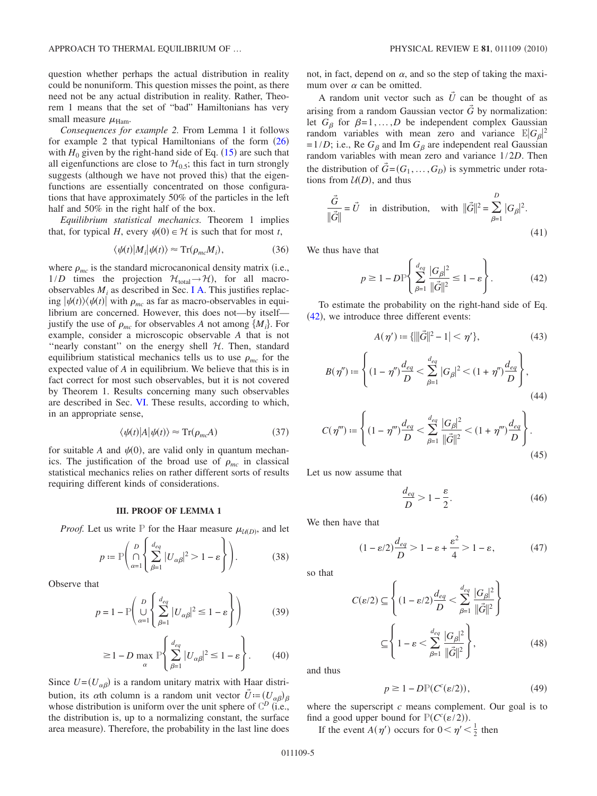question whether perhaps the actual distribution in reality could be nonuniform. This question misses the point, as there need not be any actual distribution in reality. Rather, Theorem 1 means that the set of "bad" Hamiltonians has very small measure  $\mu_{\text{Ham}}$ .

*Consequences for example 2.* From Lemma 1 it follows for example 2 that typical Hamiltonians of the form  $(26)$  $(26)$  $(26)$ with  $H_0$  given by the right-hand side of Eq.  $(15)$  $(15)$  $(15)$  are such that all eigenfunctions are close to  $\mathcal{H}_{0.5}$ ; this fact in turn strongly suggests (although we have not proved this) that the eigenfunctions are essentially concentrated on those configurations that have approximately 50% of the particles in the left half and 50% in the right half of the box.

*Equilibrium statistical mechanics.* Theorem 1 implies that, for typical *H*, every  $\psi(0) \in \mathcal{H}$  is such that for most *t*,

$$
\langle \psi(t) | M_i | \psi(t) \rangle \approx \text{Tr}(\rho_{mc} M_i), \tag{36}
$$

where  $\rho_{mc}$  is the standard microcanonical density matrix (i.e.,  $1/D$  times the projection  $\mathcal{H}_{total} \rightarrow \mathcal{H}$ , for all macroobservables  $M_i$  as described in Sec. [I A.](#page-0-6) This justifies replacing  $|\psi(t)\rangle\langle\psi(t)|$  with  $\rho_{mc}$  as far as macro-observables in equilibrium are concerned. However, this does not—by itself justify the use of  $\rho_{mc}$  for observables *A* not among  $\{M_i\}$ . For example, consider a microscopic observable *A* that is not "nearly constant" on the energy shell  $H$ . Then, standard equilibrium statistical mechanics tells us to use  $\rho_{mc}$  for the expected value of *A* in equilibrium. We believe that this is in fact correct for most such observables, but it is not covered by Theorem 1. Results concerning many such observables are described in Sec. [VI.](#page-7-0) These results, according to which, in an appropriate sense,

$$
\langle \psi(t) | A | \psi(t) \rangle \approx \text{Tr}(\rho_{mc} A) \tag{37}
$$

for suitable A and  $\psi(0)$ , are valid only in quantum mechanics. The justification of the broad use of  $\rho_{mc}$  in classical statistical mechanics relies on rather different sorts of results requiring different kinds of considerations.

#### **III. PROOF OF LEMMA 1**

<span id="page-4-0"></span>*Proof.* Let us write  $P$  for the Haar measure  $\mu_{\mathcal{U}(D)}$ , and let

$$
p \coloneqq \mathbb{P}\Bigg(\bigcap_{\alpha=1}^{D} \Bigg\{\sum_{\beta=1}^{d_{eq}} |U_{\alpha\beta}|^2 > 1 - \varepsilon \Bigg\}\Bigg). \tag{38}
$$

Observe that

$$
p = 1 - P\left(\bigcup_{\alpha=1}^{D} \left\{\sum_{\beta=1}^{d_{eq}} |U_{\alpha\beta}|^2 \le 1 - \varepsilon\right\}\right)
$$
(39)

$$
\geq 1 - D \max_{\alpha} \mathbb{P} \left\{ \sum_{\beta=1}^{d_{eq}} |U_{\alpha\beta}|^2 \leq 1 - \varepsilon \right\}.
$$
 (40)

Since  $U = (U_{\alpha\beta})$  is a random unitary matrix with Haar distribution, its  $\alpha$ th column is a random unit vector  $\vec{U} = (U_{\alpha\beta})_{\beta}$ whose distribution is uniform over the unit sphere of  $\mathbb{C}^D$  (i.e., the distribution is, up to a normalizing constant, the surface area measure). Therefore, the probability in the last line does not, in fact, depend on  $\alpha$ , and so the step of taking the maximum over  $\alpha$  can be omitted.

A random unit vector such as  $\tilde{U}$  can be thought of as arising from a random Gaussian vector  $\tilde{G}$  by normalization: let  $G_\beta$  for  $\beta = 1, \ldots, D$  be independent complex Gaussian random variables with mean zero and variance  $\mathbb{E}|G_{\beta}|^2$ =1/*D*; i.e., Re  $G_\beta$  and Im  $G_\beta$  are independent real Gaussian random variables with mean zero and variance 1/2*D*. Then the distribution of  $\vec{G} = (G_1, \ldots, G_D)$  is symmetric under rotations from  $U(D)$ , and thus

$$
\frac{\vec{G}}{\|\vec{G}\|} = \vec{U} \quad \text{in distribution,} \quad \text{with } \|\vec{G}\|^2 = \sum_{\beta=1}^D |G_\beta|^2. \tag{41}
$$

<span id="page-4-1"></span>We thus have that

$$
p \ge 1 - DP \left\{ \sum_{\beta=1}^{d_{eq}} \frac{|G_{\beta}|^2}{\|\vec{G}\|^2} \le 1 - \varepsilon \right\}.
$$
 (42)

To estimate the probability on the right-hand side of Eq.  $(42)$  $(42)$  $(42)$ , we introduce three different events:

$$
A(\eta') \coloneqq \{ \|\|\vec{G}\|^2 - 1\| < \eta' \},\tag{43}
$$

$$
B(\eta'') \coloneqq \left\{ (1 - \eta'') \frac{d_{eq}}{D} < \sum_{\beta=1}^{d_{eq}} |G_{\beta}|^2 < (1 + \eta'') \frac{d_{eq}}{D} \right\},\tag{44}
$$

$$
C(\eta'') \coloneqq \left\{ (1 - \eta'') \frac{d_{eq}}{D} < \sum_{\beta=1}^{d_{eq}} \frac{|G_{\beta}|^2}{\|\vec{G}\|^2} < (1 + \eta'') \frac{d_{eq}}{D} \right\}.
$$
\n(45)

Let us now assume that

$$
\frac{d_{eq}}{D} > 1 - \frac{\varepsilon}{2}.\tag{46}
$$

We then have that

$$
(1 - \varepsilon/2) \frac{d_{eq}}{D} > 1 - \varepsilon + \frac{\varepsilon^2}{4} > 1 - \varepsilon, \tag{47}
$$

so that

$$
C(\varepsilon/2) \subseteq \left\{ (1 - \varepsilon/2) \frac{d_{eq}}{D} < \sum_{\beta=1}^{d_{eq}} \frac{|G_{\beta}|^2}{\|\vec{G}\|^2} \right\}
$$

$$
\subseteq \left\{ 1 - \varepsilon < \sum_{\beta=1}^{d_{eq}} \frac{|G_{\beta}|^2}{\|\vec{G}\|^2} \right\},
$$
(48)

<span id="page-4-2"></span>and thus

$$
p \ge 1 - D\mathbb{P}(C^c(\varepsilon/2)),\tag{49}
$$

where the superscript *c* means complement. Our goal is to find a good upper bound for  $P(C^{c}(\varepsilon/2))$ .

If the event  $A(\eta')$  occurs for  $0 < \eta' < \frac{1}{2}$  then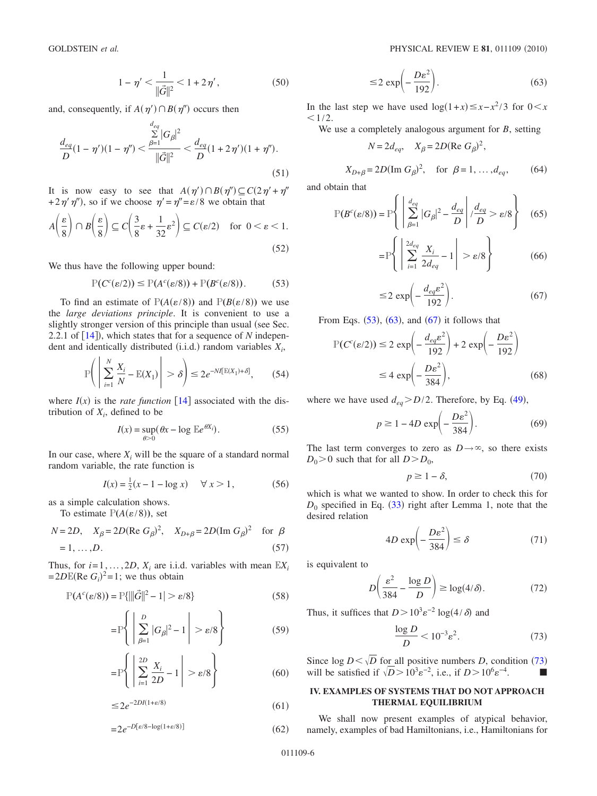$$
1 - \eta' < \frac{1}{\|\vec{G}\|^2} < 1 + 2\eta',\tag{50}
$$

and, consequently, if  $A(\eta') \cap B(\eta'')$  occurs then

$$
\frac{d_{eq}}{D}(1-\eta')(1-\eta'') < \frac{\sum\limits_{\beta=1}^{d_{eq}} |G_{\beta}|^2}{\|\vec{G}\|^2} < \frac{d_{eq}}{D}(1+2\eta')(1+\eta'').\tag{51}
$$

It is now easy to see that  $A(\eta') \cap B(\eta'') \subseteq C(2\eta' + \eta''$ +2 $\eta'$ , so if we choose  $\eta' = \eta'' = \varepsilon/8$  we obtain that

$$
A\left(\frac{\varepsilon}{8}\right) \cap B\left(\frac{\varepsilon}{8}\right) \subseteq C\left(\frac{3}{8}\varepsilon + \frac{1}{32}\varepsilon^2\right) \subseteq C(\varepsilon/2) \quad \text{for } 0 < \varepsilon < 1.
$$
 (52)

<span id="page-5-1"></span>We thus have the following upper bound:

$$
\mathbb{P}(C^c(\varepsilon/2)) \le \mathbb{P}(A^c(\varepsilon/8)) + \mathbb{P}(B^c(\varepsilon/8)). \tag{53}
$$

To find an estimate of  $P(A(\varepsilon/8))$  and  $P(B(\varepsilon/8))$  we use the *large deviations principle*. It is convenient to use a slightly stronger version of this principle than usual (see Sec. 2.2.1 of  $[14]$  $[14]$  $[14]$ ), which states that for a sequence of *N* independent and identically distributed  $(i.i.d.)$  random variables  $X_i$ ,

$$
\mathbb{P}\bigg(\left|\sum_{i=1}^{N}\frac{X_i}{N}-\mathbb{E}(X_1)\right|>\delta\bigg)\leq 2e^{-N\ell[\mathbb{E}(X_1)+\delta]},\qquad(54)
$$

where  $I(x)$  is the *rate function* [[14](#page-8-9)] associated with the distribution of  $X_i$ , defined to be

$$
I(x) = \sup_{\theta > 0} (\theta x - \log \mathbb{E}e^{\theta X_i}).
$$
 (55)

In our case, where  $X_i$  will be the square of a standard normal random variable, the rate function is

$$
I(x) = \frac{1}{2}(x - 1 - \log x) \quad \forall x > 1,
$$
 (56)

as a simple calculation shows.

To estimate  $P(A(\varepsilon/8))$ , set

$$
N = 2D, \quad X_{\beta} = 2D(\text{Re } G_{\beta})^2, \quad X_{D+\beta} = 2D(\text{Im } G_{\beta})^2 \quad \text{for } \beta
$$
  
= 1, ..., D. (57)

Thus, for  $i=1,\ldots,2D$ ,  $X_i$  are i.i.d. variables with mean  $\mathbb{E}X_i$  $=2D\mathbb{E}(\text{Re } G_i)^2=1$ ; we thus obtain

$$
\mathbb{P}(A^c(\varepsilon/8)) = \mathbb{P}\{\|\vec{G}\|^2 - 1\} > \varepsilon/8\}
$$
\n(58)

$$
= \mathbb{P}\left\{ \left| \sum_{\beta=1}^{D} |G_{\beta}|^2 - 1 \right| > \varepsilon/8 \right\} \tag{59}
$$

$$
= \mathbb{P}\left\{ \left| \sum_{i=1}^{2D} \frac{X_i}{2D} - 1 \right| > \varepsilon/8 \right\} \tag{60}
$$

 $≤ 2e^{-2DI(1+ε/8)}$  (  $(61)$ 

 $=2e^{-D[\varepsilon/8-\log(1+\varepsilon/8)]}$  (  $(62)$ 

$$
\leq 2 \exp\left(-\frac{D\varepsilon^2}{192}\right). \tag{63}
$$

<span id="page-5-2"></span>In the last step we have used  $\log(1+x) \leq x - x^2/3$  for  $0 \leq x$  $1/2$ .

We use a completely analogous argument for *B*, setting

$$
N = 2d_{eq}, \quad X_{\beta} = 2D(\text{Re } G_{\beta})^2,
$$

$$
X_{D+\beta} = 2D(\text{Im } G_{\beta})^2
$$
, for  $\beta = 1, ..., d_{eq}$ , (64)

and obtain that

$$
\mathbb{P}(B^c(\varepsilon/8)) = \mathbb{P}\left\{ \left| \sum_{\beta=1}^{d_{eq}} |G_{\beta}|^2 - \frac{d_{eq}}{D} \right| / \frac{d_{eq}}{D} > \varepsilon/8 \right\} \quad (65)
$$

$$
= \mathbb{P}\left\{ \left| \sum_{i=1}^{2d_{eq}} \frac{X_i}{2d_{eq}} - 1 \right| > \varepsilon/8 \right\} \tag{66}
$$

$$
\leq 2 \exp\left(-\frac{d_{eq} \varepsilon^2}{192}\right). \tag{67}
$$

<span id="page-5-3"></span>From Eqs.  $(53)$  $(53)$  $(53)$ ,  $(63)$  $(63)$  $(63)$ , and  $(67)$  $(67)$  $(67)$  it follows that

$$
P(Cc(\varepsilon/2)) \le 2 \exp\left(-\frac{d_{eq}\varepsilon^2}{192}\right) + 2 \exp\left(-\frac{D\varepsilon^2}{192}\right)
$$
  

$$
\le 4 \exp\left(-\frac{D\varepsilon^2}{384}\right), \tag{68}
$$

where we have used  $d_{eq}$  > D/2. Therefore, by Eq. ([49](#page-4-2)),

$$
p \ge 1 - 4D \exp\left(-\frac{D\varepsilon^2}{384}\right). \tag{69}
$$

The last term converges to zero as  $D \rightarrow \infty$ , so there exists  $D_0$  > 0 such that for all  $D > D_0$ ,

$$
p \ge 1 - \delta,\tag{70}
$$

which is what we wanted to show. In order to check this for  $D_0$  specified in Eq. ([33](#page-3-6)) right after Lemma 1, note that the desired relation

$$
4D \exp\left(-\frac{D\varepsilon^2}{384}\right) \le \delta \tag{71}
$$

is equivalent to

$$
D\left(\frac{\varepsilon^2}{384} - \frac{\log D}{D}\right) \ge \log(4/\delta). \tag{72}
$$

<span id="page-5-4"></span>Thus, it suffices that  $D > 10^3 \varepsilon^{-2} \log(4/\delta)$  and

$$
\frac{\log D}{D} < 10^{-3} \varepsilon^2. \tag{73}
$$

Since  $\log D < \sqrt{D}$  for all positive numbers *D*, condition ([73](#page-5-4)) will be satisfied if  $\sqrt{D} > 10^3 e^{-2}$ , i.e., if  $D > 10^6 e^{-4}$ .

# <span id="page-5-0"></span>**IV. EXAMPLES OF SYSTEMS THAT DO NOT APPROACH THERMAL EQUILIBRIUM**

We shall now present examples of atypical behavior, namely, examples of bad Hamiltonians, i.e., Hamiltonians for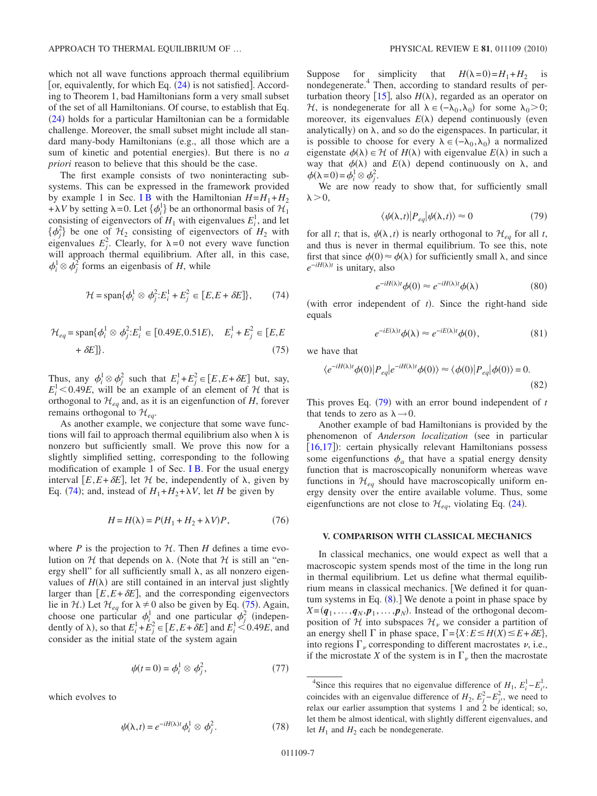which not all wave functions approach thermal equilibrium [or, equivalently, for which Eq.  $(24)$  $(24)$  $(24)$  is not satisfied]. According to Theorem 1, bad Hamiltonians form a very small subset of the set of all Hamiltonians. Of course, to establish that Eq. ([24](#page-2-3)) holds for a particular Hamiltonian can be a formidable challenge. Moreover, the small subset might include all standard many-body Hamiltonians (e.g., all those which are a sum of kinetic and potential energies). But there is no *a priori* reason to believe that this should be the case.

The first example consists of two noninteracting subsystems. This can be expressed in the framework provided by example 1 in Sec. [I B](#page-1-3) with the Hamiltonian  $H=H_1+H_2$ + $\lambda V$  by setting  $\lambda = 0$ . Let  $\{\phi_i^1\}$  be an orthonormal basis of  $\mathcal{H}_1$ consisting of eigenvectors of  $H_1$  with eigenvalues  $E_i^1$ , and let  $\{\phi_j^2\}$  be one of  $\mathcal{H}_2$  consisting of eigenvectors of  $H_2$  with eigenvalues  $E_j^2$ . Clearly, for  $\lambda = 0$  not every wave function will approach thermal equilibrium. After all, in this case,  $\phi_i^1 \otimes \phi_j^2$  forms an eigenbasis of *H*, while

<span id="page-6-1"></span>
$$
\mathcal{H} = \text{span}\{\phi_i^1 \otimes \phi_j^2 : E_i^1 + E_j^2 \in [E, E + \delta E]\},\qquad(74)
$$

<span id="page-6-2"></span>
$$
\mathcal{H}_{eq} = \text{span}\{\phi_i^1 \otimes \phi_j^2 : E_i^1 \in [0.49E, 0.51E), \quad E_i^1 + E_j^2 \in [E, E + \delta E]\}.
$$
\n(75)

Thus, any  $\phi_i^1 \otimes \phi_j^2$  such that  $E_i^1 + E_j^2 \in [E, E + \delta E]$  but, say,  $E_i^1$  < 0.49*E*, will be an example of an element of H that is orthogonal to  $\mathcal{H}_{eq}$  and, as it is an eigenfunction of *H*, forever remains orthogonal to  $\mathcal{H}_{eq}$ .

As another example, we conjecture that some wave functions will fail to approach thermal equilibrium also when  $\lambda$  is nonzero but sufficiently small. We prove this now for a slightly simplified setting, corresponding to the following modification of example 1 of Sec. [I B.](#page-1-3) For the usual energy interval  $[E, E + \delta E]$ , let H be, independently of  $\lambda$ , given by Eq. ([74](#page-6-1)); and, instead of  $H_1 + H_2 + \lambda V$ , let *H* be given by

$$
H = H(\lambda) = P(H_1 + H_2 + \lambda V)P, \qquad (76)
$$

where  $P$  is the projection to  $H$ . Then  $H$  defines a time evolution on  $H$  that depends on  $\lambda$ . (Note that  $H$  is still an "energy shell" for all sufficiently small  $\lambda$ , as all nonzero eigenvalues of  $H(\lambda)$  are still contained in an interval just slightly larger than  $[E, E + \delta E]$ , and the corresponding eigenvectors lie in H.) Let  $\mathcal{H}_{eq}$  for  $\lambda \neq 0$  also be given by Eq. ([75](#page-6-2)). Again, choose one particular  $\phi_i^1$  and one particular  $\phi_j^2$  (independently of  $\lambda$ ), so that  $E_i^1 + E_j^2 \in [E, E + \delta E]$  and  $E_i^1 < 0.49E$ , and consider as the initial state of the system again

$$
\psi(t=0) = \phi_i^1 \otimes \phi_j^2, \qquad (77)
$$

which evolves to

$$
\psi(\lambda, t) = e^{-iH(\lambda)t} \phi_i^1 \otimes \phi_j^2.
$$
\n(78)

Suppose for simplicity that  $H(\lambda=0) = H_1 + H_2$  is nondegenerate.4 Then, according to standard results of perturbation theory  $[15]$  $[15]$  $[15]$ , also  $H(\lambda)$ , regarded as an operator on H, is nondegenerate for all  $\lambda \in (-\lambda_0, \lambda_0)$  for some  $\lambda_0 > 0$ ; moreover, its eigenvalues  $E(\lambda)$  depend continuously (even analytically) on  $\lambda$ , and so do the eigenspaces. In particular, it is possible to choose for every  $\lambda \in (-\lambda_0, \lambda_0)$  a normalized eigenstate  $\phi(\lambda) \in \mathcal{H}$  of  $H(\lambda)$  with eigenvalue  $E(\lambda)$  in such a way that  $\phi(\lambda)$  and  $E(\lambda)$  depend continuously on  $\lambda$ , and  $\phi(\lambda=0) = \phi_i^1 \otimes \phi_j^2.$ 

We are now ready to show that, for sufficiently small  $\lambda > 0$ ,

$$
\langle \psi(\lambda, t) | P_{eq} | \psi(\lambda, t) \rangle \approx 0 \tag{79}
$$

<span id="page-6-3"></span>for all *t*; that is,  $\psi(\lambda, t)$  is nearly orthogonal to  $\mathcal{H}_{eq}$  for all *t*, and thus is never in thermal equilibrium. To see this, note first that since  $\phi(0) \approx \phi(\lambda)$  for sufficiently small  $\lambda$ , and since *e*<sup>−*iH*( $\lambda$ )*t*</sup> is unitary, also

$$
e^{-iH(\lambda)t}\phi(0) \approx e^{-iH(\lambda)t}\phi(\lambda)
$$
 (80)

(with error independent of  $t$ ). Since the right-hand side equals

$$
e^{-iE(\lambda)t}\phi(\lambda) \approx e^{-iE(\lambda)t}\phi(0),\tag{81}
$$

we have that

$$
\langle e^{-iH(\lambda)t}\phi(0)|P_{eq}|e^{-iH(\lambda)t}\phi(0)\rangle \approx \langle \phi(0)|P_{eq}|\phi(0)\rangle = 0.
$$
\n(82)

This proves Eq.  $(79)$  $(79)$  $(79)$  with an error bound independent of *t* that tends to zero as  $\lambda \rightarrow 0$ .

Another example of bad Hamiltonians is provided by the phenomenon of *Anderson localization* (see in particular [[16,](#page-8-11)[17](#page-8-12)]): certain physically relevant Hamiltonians possess some eigenfunctions  $\phi_{\alpha}$  that have a spatial energy density function that is macroscopically nonuniform whereas wave functions in  $\mathcal{H}_{eq}$  should have macroscopically uniform energy density over the entire available volume. Thus, some eigenfunctions are not close to  $\mathcal{H}_{eq}$ , violating Eq. ([24](#page-2-3)).

#### <span id="page-6-0"></span>**V. COMPARISON WITH CLASSICAL MECHANICS**

In classical mechanics, one would expect as well that a macroscopic system spends most of the time in the long run in thermal equilibrium. Let us define what thermal equilibrium means in classical mechanics. We defined it for quantum systems in Eq.  $(8)$  $(8)$  $(8)$ .] We denote a point in phase space by  $X = (q_1, \ldots, q_N, p_1, \ldots, p_N)$ . Instead of the orthogonal decomposition of H into subspaces  $\mathcal{H}_{\nu}$  we consider a partition of an energy shell  $\Gamma$  in phase space,  $\Gamma = \{X : E \le H(X) \le E + \delta E\}$ , into regions  $\Gamma_{\nu}$  corresponding to different macrostates  $\nu$ , i.e., if the microstate X of the system is in  $\Gamma_{\nu}$  then the macrostate

<sup>&</sup>lt;sup>4</sup>Since this requires that no eigenvalue difference of  $H_1$ ,  $E_i^1 - E_i^1$ , coincides with an eigenvalue difference of  $H_2$ ,  $E_j^2 - E_{j'}^2$ , we need to relax our earlier assumption that systems 1 and 2 be identical; so, let them be almost identical, with slightly different eigenvalues, and let  $H_1$  and  $H_2$  each be nondegenerate.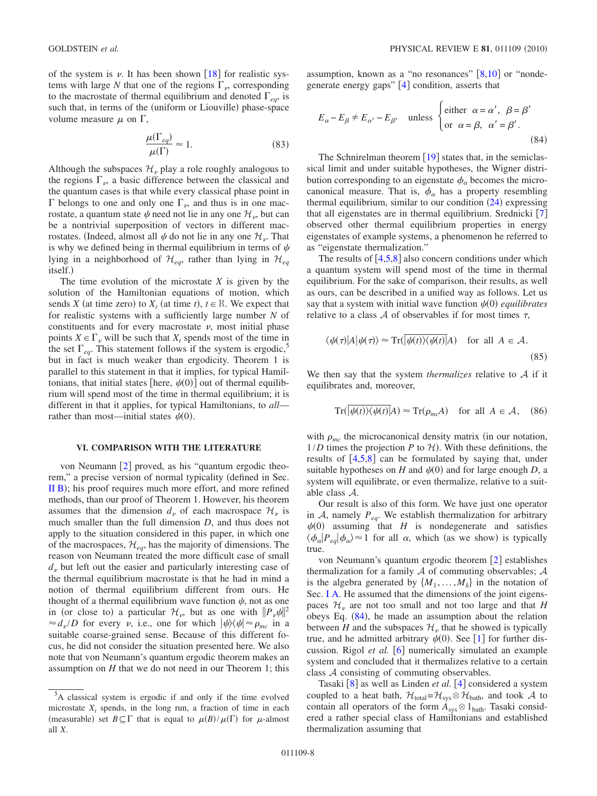of the system is  $\nu$ . It has been shown [[18](#page-8-13)] for realistic systems with large N that one of the regions  $\Gamma_{\nu}$ , corresponding to the macrostate of thermal equilibrium and denoted  $\Gamma_{eq}$ , is such that, in terms of the (uniform or Liouville) phase-space volume measure  $\mu$  on  $\Gamma$ ,

$$
\frac{\mu(\Gamma_{eq})}{\mu(\Gamma)} \approx 1.
$$
\n(83)

Although the subspaces  $\mathcal{H}_{\nu}$  play a role roughly analogous to the regions  $\Gamma_{\nu}$ , a basic difference between the classical and the quantum cases is that while every classical phase point in  $\Gamma$  belongs to one and only one  $\Gamma_{\nu}$ , and thus is in one macrostate, a quantum state  $\psi$  need not lie in any one  $\mathcal{H}_{\nu}$ , but can be a nontrivial superposition of vectors in different macrostates. (Indeed, almost all  $\psi$  do not lie in any one  $\mathcal{H}_{\nu}$ . That is why we defined being in thermal equilibrium in terms of  $\psi$ lying in a neighborhood of  $\mathcal{H}_{eq}$ , rather than lying in  $\mathcal{H}_{eq}$ itself.

The time evolution of the microstate *X* is given by the solution of the Hamiltonian equations of motion, which sends *X* (at time zero) to  $X_t$  (at time *t*),  $t \in \mathbb{R}$ . We expect that for realistic systems with a sufficiently large number *N* of constituents and for every macrostate  $\nu$ , most initial phase points  $X \in \Gamma$ <sub>v</sub> will be such that  $X_t$  spends most of the time in the set  $\Gamma_{ea}$ . This statement follows if the system is ergodic,<sup>5</sup> but in fact is much weaker than ergodicity. Theorem 1 is parallel to this statement in that it implies, for typical Hamiltonians, that initial states [here,  $\psi(0)$ ] out of thermal equilibrium will spend most of the time in thermal equilibrium; it is different in that it applies, for typical Hamiltonians, to *all* rather than most—initial states  $\psi(0)$ .

# **VI. COMPARISON WITH THE LITERATURE**

<span id="page-7-0"></span>von Neumann  $\lceil 2 \rceil$  $\lceil 2 \rceil$  $\lceil 2 \rceil$  proved, as his "quantum ergodic theorem," a precise version of normal typicality (defined in Sec. [II B](#page-3-7)); his proof requires much more effort, and more refined methods, than our proof of Theorem 1. However, his theorem assumes that the dimension  $d_v$  of each macrospace  $\mathcal{H}_v$  is much smaller than the full dimension *D*, and thus does not apply to the situation considered in this paper, in which one of the macrospaces,  $\mathcal{H}_{ea}$ , has the majority of dimensions. The reason von Neumann treated the more difficult case of small  $d<sub>\nu</sub>$  but left out the easier and particularly interesting case of the thermal equilibrium macrostate is that he had in mind a notion of thermal equilibrium different from ours. He thought of a thermal equilibrium wave function  $\psi$ , not as one in (or close to) a particular  $\mathcal{H}_\nu$ , but as one with  $||P_\nu \psi||^2$  $\approx d_{\nu}/D$  for every  $\nu$ , i.e., one for which  $|\psi\rangle\langle\psi| \approx \rho_{mc}$  in a suitable coarse-grained sense. Because of this different focus, he did not consider the situation presented here. We also note that von Neumann's quantum ergodic theorem makes an assumption on *H* that we do not need in our Theorem 1; this

assumption, known as a "no resonances"  $[8,10]$  $[8,10]$  $[8,10]$  $[8,10]$  or "nondegenerate energy gaps"  $[4]$  $[4]$  $[4]$  condition, asserts that

<span id="page-7-1"></span>
$$
E_{\alpha} - E_{\beta} \neq E_{\alpha'} - E_{\beta'}
$$
 unless 
$$
\begin{cases} \text{either } \alpha = \alpha', \ \beta = \beta' \\ \text{or } \alpha = \beta, \ \alpha' = \beta'. \end{cases}
$$
 (84)

The Schnirelman theorem  $\lceil 19 \rceil$  $\lceil 19 \rceil$  $\lceil 19 \rceil$  states that, in the semiclassical limit and under suitable hypotheses, the Wigner distribution corresponding to an eigenstate  $\phi_\alpha$  becomes the microcanonical measure. That is,  $\phi_{\alpha}$  has a property resembling thermal equilibrium, similar to our condition  $(24)$  $(24)$  $(24)$  expressing that all eigenstates are in thermal equilibrium. Srednicki  $\lceil 7 \rceil$  $\lceil 7 \rceil$  $\lceil 7 \rceil$ observed other thermal equilibrium properties in energy eigenstates of example systems, a phenomenon he referred to as "eigenstate thermalization."

The results of  $[4,5,8]$  $[4,5,8]$  $[4,5,8]$  $[4,5,8]$  $[4,5,8]$  also concern conditions under which a quantum system will spend most of the time in thermal equilibrium. For the sake of comparison, their results, as well as ours, can be described in a unified way as follows. Let us say that a system with initial wave function  $\psi(0)$  *equilibrates* relative to a class  $A$  of observables if for most times  $\tau$ ,

$$
\langle \psi(\tau)|A|\psi(\tau)\rangle \approx \operatorname{Tr}(\overline{|\psi(t)\rangle\langle\psi(t)|}A) \quad \text{for all } A \in \mathcal{A}.
$$
\n(85)

We then say that the system *thermalizes* relative to A if it equilibrates and, moreover,

$$
\operatorname{Tr}(|\psi(t)\rangle\langle\psi(t)|A) \approx \operatorname{Tr}(\rho_{mc}A) \quad \text{for all } A \in \mathcal{A}, \quad (86)
$$

with  $\rho_{mc}$  the microcanonical density matrix (in our notation,  $1/D$  times the projection *P* to  $H$ ). With these definitions, the results of  $[4,5,8]$  $[4,5,8]$  $[4,5,8]$  $[4,5,8]$  $[4,5,8]$  can be formulated by saying that, under suitable hypotheses on  $H$  and  $\psi(0)$  and for large enough  $D$ , a system will equilibrate, or even thermalize, relative to a suitable class A.

Our result is also of this form. We have just one operator in  $A$ , namely  $P_{eq}$ . We establish thermalization for arbitrary  $\psi(0)$  assuming that *H* is nondegenerate and satisfies  $\langle \phi_{\alpha} | P_{eq} | \phi_{\alpha} \rangle \approx 1$  for all  $\alpha$ , which (as we show) is typically true.

von Neumann's quantum ergodic theorem  $\lceil 2 \rceil$  $\lceil 2 \rceil$  $\lceil 2 \rceil$  establishes thermalization for a family  $A$  of commuting observables;  $A$ is the algebra generated by  $\{M_1, \ldots, M_k\}$  in the notation of Sec. [I A.](#page-0-6) He assumed that the dimensions of the joint eigenspaces  $\mathcal{H}_\nu$  are not too small and not too large and that *H* obeys Eq.  $(84)$  $(84)$  $(84)$ , he made an assumption about the relation between *H* and the subspaces  $\mathcal{H}_{\nu}$  that he showed is typically true, and he admitted arbitrary  $\psi(0)$ . See [[1](#page-8-0)] for further discussion. Rigol *et al.* [[6](#page-8-18)] numerically simulated an example system and concluded that it thermalizes relative to a certain class A consisting of commuting observables.

Tasaki [[8](#page-8-3)] as well as Linden *et al.* [[4](#page-8-14)] considered a system coupled to a heat bath,  $\mathcal{H}_{total} = \mathcal{H}_{sys} \otimes \mathcal{H}_{bath}$ , and took A to contain all operators of the form  $A_{sys} \otimes 1_{bath}$ . Tasaki considered a rather special class of Hamiltonians and established thermalization assuming that

<sup>&</sup>lt;sup>5</sup>A classical system is ergodic if and only if the time evolved microstate  $X_t$  spends, in the long run, a fraction of time in each (measurable) set  $B \subseteq \Gamma$  that is equal to  $\mu(B)/\mu(\Gamma)$  for  $\mu$ -almost all *X*.